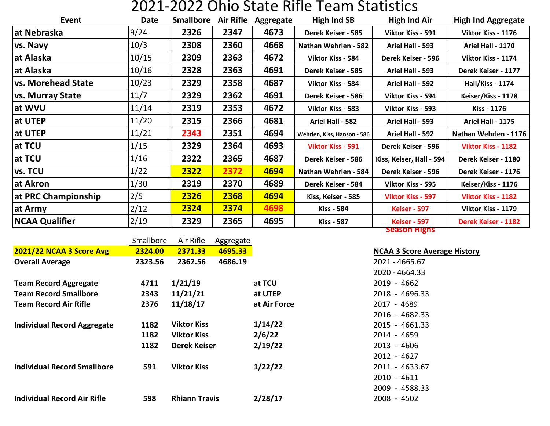## 2021-2022 Ohio State Rifle Team Statistics

| Event                     | <b>Date</b> | <b>Smallbore</b> | <b>Air Rifle</b> | Aggregate | High Ind SB                                    | <b>High Ind Air</b>        | <b>High Ind Aggregate</b> |  |  |
|---------------------------|-------------|------------------|------------------|-----------|------------------------------------------------|----------------------------|---------------------------|--|--|
| at Nebraska               | 9/24        | 2326             | 2347             | 4673      | Derek Keiser - 585                             | Viktor Kiss - 591          | Viktor Kiss - 1176        |  |  |
| vs. Navy                  | 10/3        | 2308             | 2360             | 4668      | Nathan Wehrlen - 582                           | Ariel Hall - 593           | Ariel Hall - 1170         |  |  |
| at Alaska                 | 10/15       | 2309             | 2363             | 4672      | Viktor Kiss - 584                              | Derek Keiser - 596         | Viktor Kiss - 1174        |  |  |
| lat Alaska                | 10/16       | 2328             | 2363             | 4691      | Derek Keiser - 585                             | Ariel Hall - 593           | Derek Keiser - 1177       |  |  |
| <b>vs. Morehead State</b> | 10/23       | 2329             | 2358             | 4687      | Viktor Kiss - 584                              | Ariel Hall - 592           | <b>Hall/Kiss - 1174</b>   |  |  |
| vs. Murray State          | 11/7        | 2329             | 2362             | 4691      | Derek Keiser - 586                             | Viktor Kiss - 594          | Keiser/Kiss - 1178        |  |  |
| at WVU                    | 11/14       | 2319             | 2353             | 4672      | Viktor Kiss - 583<br>Viktor Kiss - 593         |                            | Kiss - 1176               |  |  |
| at UTEP                   | 11/20       | 2315             | 2366             | 4681      | Ariel Hall - 582                               | Ariel Hall - 593           | <b>Ariel Hall - 1175</b>  |  |  |
| at UTEP                   | 11/21       | 2343             | 2351             | 4694      | Wehrlen, Kiss, Hanson - 586                    | Ariel Hall - 592           | Nathan Wehrlen - 1176     |  |  |
| at TCU                    | 1/15        | 2329             | 2364             | 4693      | <b>Viktor Kiss - 591</b>                       | Derek Keiser - 596         | <b>Viktor Kiss - 1182</b> |  |  |
| lat TCU                   | 1/16        | 2322             | 2365             | 4687      | Derek Keiser - 586                             | Kiss, Keiser, Hall - 594   | Derek Keiser - 1180       |  |  |
| <b>vs. TCU</b>            | 1/22        | 2322             | 2372             | 4694      | Nathan Wehrlen - 584                           | Derek Keiser - 596         | Derek Keiser - 1176       |  |  |
| at Akron                  | 1/30        | 2319             | 2370             | 4689      | Derek Keiser - 584                             | Viktor Kiss - 595          | Keiser/Kiss - 1176        |  |  |
| at PRC Championship       | 2/5         | 2326             | 2368             | 4694      | Kiss, Keiser - 585<br><b>Viktor Kiss - 597</b> |                            | Viktor Kiss - 1182        |  |  |
| at Army                   | 2/12        | 2324             | 2374             | 4698      | Kiss - 584                                     | <b>Keiser - 597</b>        | Viktor Kiss - 1179        |  |  |
| <b>NCAA Qualifier</b>     | 2/19        | 2329             | 2365             | 4695      | <b>Kiss - 587</b>                              | <b>Derek Keiser - 1182</b> |                           |  |  |

|                                    | Smallbore | Air Rifle            | Aggregate |              |                                     |
|------------------------------------|-----------|----------------------|-----------|--------------|-------------------------------------|
| 2021/22 NCAA 3 Score Avg           | 2324.00   | 2371.33              | 4695.33   |              | <b>NCAA 3 Score Average History</b> |
| <b>Overall Average</b>             | 2323.56   | 2362.56              | 4686.19   |              | 2021 - 4665.67                      |
|                                    |           |                      |           |              | 2020 - 4664.33                      |
| <b>Team Record Aggregate</b>       | 4711      | 1/21/19              |           | at TCU       | $2019 - 4662$                       |
| <b>Team Record Smallbore</b>       | 2343      | 11/21/21             |           | at UTEP      | 2018 - 4696.33                      |
| <b>Team Record Air Rifle</b>       | 2376      | 11/18/17             |           | at Air Force | 2017 - 4689                         |
|                                    |           |                      |           |              | 2016 - 4682.33                      |
| <b>Individual Record Aggregate</b> | 1182      | <b>Viktor Kiss</b>   |           | 1/14/22      | 2015 - 4661.33                      |
|                                    | 1182      | <b>Viktor Kiss</b>   |           | 2/6/22       | 2014 - 4659                         |
|                                    | 1182      | <b>Derek Keiser</b>  |           | 2/19/22      | $2013 - 4606$                       |
|                                    |           |                      |           |              | 2012 - 4627                         |
| <b>Individual Record Smallbore</b> | 591       | <b>Viktor Kiss</b>   |           | 1/22/22      | 2011 - 4633.67                      |
|                                    |           |                      |           |              | $2010 - 4611$                       |
|                                    |           |                      |           |              | 2009 - 4588.33                      |
| <b>Individual Record Air Rifle</b> | 598       | <b>Rhiann Travis</b> |           | 2/28/17      | 2008 - 4502                         |

**Season Highs**

| NCAA 3 Score A <u>verage His</u> |
|----------------------------------|
| 2021 - 4665.67                   |
| 2020 - 4664.33                   |
| 2019 - 4662                      |
| 2018 - 4696.33                   |
| 2017 - 4689                      |
| 2016 - 4682.33                   |
| 2015 - 4661.33                   |
| 2014 - 4659                      |
| 2013 - 4606                      |
| 2012 - 4627                      |
| 2011 - 4633.67                   |
| 2010 - 4611                      |
| 2009 - 4588.33                   |
| 2008 - 4502                      |
|                                  |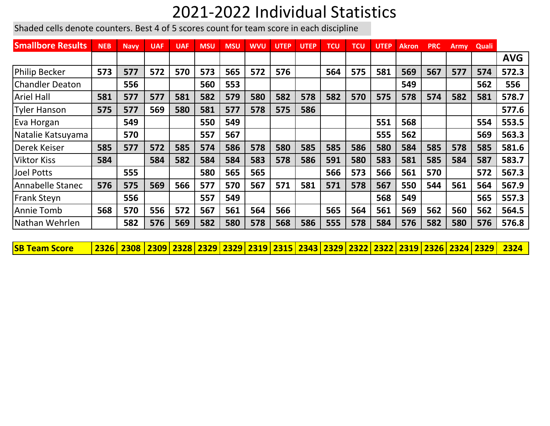## 2021-2022 Individual Statistics

Shaded cells denote counters. Best 4 of 5 scores count for team score in each discipline

| <b>Smallbore Results</b> | <b>NEB</b> | <b>Navy</b> | <b>UAF</b> | <b>UAF</b> | <b>MSU</b> | <b>MSU</b> | <b>WVU</b> | <b>UTEP</b> | <b>UTEP</b> | <b>TCU</b> | <b>TCU</b> | <b>UTEP</b> | <b>Akron</b> | <b>PRC</b> | Army | <b>Quali</b> |            |
|--------------------------|------------|-------------|------------|------------|------------|------------|------------|-------------|-------------|------------|------------|-------------|--------------|------------|------|--------------|------------|
|                          |            |             |            |            |            |            |            |             |             |            |            |             |              |            |      |              | <b>AVG</b> |
| Philip Becker            | 573        | 577         | 572        | 570        | 573        | 565        | 572        | 576         |             | 564        | 575        | 581         | 569          | 567        | 577  | 574          | 572.3      |
| <b>Chandler Deaton</b>   |            | 556         |            |            | 560        | 553        |            |             |             |            |            |             | 549          |            |      | 562          | 556        |
| <b>Ariel Hall</b>        | 581        | 577         | 577        | 581        | 582        | 579        | 580        | 582         | 578         | 582        | 570        | 575         | 578          | 574        | 582  | 581          | 578.7      |
| Tyler Hanson             | 575        | 577         | 569        | 580        | 581        | 577        | 578        | 575         | 586         |            |            |             |              |            |      |              | 577.6      |
| Eva Horgan               |            | 549         |            |            | 550        | 549        |            |             |             |            |            | 551         | 568          |            |      | 554          | 553.5      |
| Natalie Katsuyama        |            | 570         |            |            | 557        | 567        |            |             |             |            |            | 555         | 562          |            |      | 569          | 563.3      |
| Derek Keiser             | 585        | 577         | 572        | 585        | 574        | 586        | 578        | 580         | 585         | 585        | 586        | 580         | 584          | 585        | 578  | 585          | 581.6      |
| <b>Viktor Kiss</b>       | 584        |             | 584        | 582        | 584        | 584        | 583        | 578         | 586         | 591        | 580        | 583         | 581          | 585        | 584  | 587          | 583.7      |
| Joel Potts               |            | 555         |            |            | 580        | 565        | 565        |             |             | 566        | 573        | 566         | 561          | 570        |      | 572          | 567.3      |
| Annabelle Stanec         | 576        | 575         | 569        | 566        | 577        | 570        | 567        | 571         | 581         | 571        | 578        | 567         | 550          | 544        | 561  | 564          | 567.9      |
| <b>Frank Steyn</b>       |            | 556         |            |            | 557        | 549        |            |             |             |            |            | 568         | 549          |            |      | 565          | 557.3      |
| Annie Tomb               | 568        | 570         | 556        | 572        | 567        | 561        | 564        | 566         |             | 565        | 564        | 561         | 569          | 562        | 560  | 562          | 564.5      |
| Nathan Wehrlen           |            | 582         | 576        | 569        | 582        | 580        | 578        | 568         | 586         | 555        | 578        | 584         | 576          | 582        | 580  | 576          | 576.8      |

**SB Team Score 2326 2308 2309 2328 2329 2329 2319 2315 2343 2329 2322 2322 2319 2326 2324 2329 2324**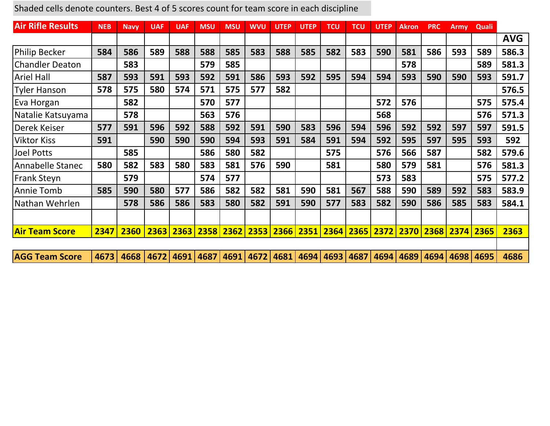| <b>Air Rifle Results</b> | <b>NEB</b> | <b>Navv</b> | <b>UAF</b> | <b>UAF</b> | <b>MSU</b>          | <b>MSU</b> | <b>WVU</b> | <b>UTEP</b> | <b>UTEP</b> | <b>TCU</b> | <b>TCU</b> | <b>UTEP</b>    | <b>Akron</b> | <b>PRC</b> | Army      | <b>Quali</b> |            |
|--------------------------|------------|-------------|------------|------------|---------------------|------------|------------|-------------|-------------|------------|------------|----------------|--------------|------------|-----------|--------------|------------|
|                          |            |             |            |            |                     |            |            |             |             |            |            |                |              |            |           |              | <b>AVG</b> |
| <b>Philip Becker</b>     | 584        | 586         | 589        | 588        | 588                 | 585        | 583        | 588         | 585         | 582        | 583        | 590            | 581          | 586        | 593       | 589          | 586.3      |
| <b>Chandler Deaton</b>   |            | 583         |            |            | 579                 | 585        |            |             |             |            |            |                | 578          |            |           | 589          | 581.3      |
| <b>Ariel Hall</b>        | 587        | 593         | 591        | 593        | 592                 | 591        | 586        | 593         | 592         | 595        | 594        | 594            | 593          | 590        | 590       | 593          | 591.7      |
| <b>Tyler Hanson</b>      | 578        | 575         | 580        | 574        | 571                 | 575        | 577        | 582         |             |            |            |                |              |            |           |              | 576.5      |
| Eva Horgan               |            | 582         |            |            | 570                 | 577        |            |             |             |            |            | 572            | 576          |            |           | 575          | 575.4      |
| Natalie Katsuyama        |            | 578         |            |            | 563                 | 576        |            |             |             |            |            | 568            |              |            |           | 576          | 571.3      |
| Derek Keiser             | 577        | 591         | 596        | 592        | 588                 | 592        | 591        | 590         | 583         | 596        | 594        | 596            | 592          | 592        | 597       | 597          | 591.5      |
| <b>Viktor Kiss</b>       | 591        |             | 590        | 590        | 590                 | 594        | 593        | 591         | 584         | 591        | 594        | 592            | 595          | 597        | 595       | 593          | 592        |
| <b>Joel Potts</b>        |            | 585         |            |            | 586                 | 580        | 582        |             |             | 575        |            | 576            | 566          | 587        |           | 582          | 579.6      |
| Annabelle Stanec         | 580        | 582         | 583        | 580        | 583                 | 581        | 576        | 590         |             | 581        |            | 580            | 579          | 581        |           | 576          | 581.3      |
| <b>Frank Steyn</b>       |            | 579         |            |            | 574                 | 577        |            |             |             |            |            | 573            | 583          |            |           | 575          | 577.2      |
| Annie Tomb               | 585        | 590         | 580        | 577        | 586                 | 582        | 582        | 581         | 590         | 581        | 567        | 588            | 590          | 589        | 592       | 583          | 583.9      |
| Nathan Wehrlen           |            | 578         | 586        | 586        | 583                 | 580        | 582        | 591         | 590         | 577        | 583        | 582            | 590          | 586        | 585       | 583          | 584.1      |
|                          |            |             |            |            |                     |            |            |             |             |            |            |                |              |            |           |              |            |
| <b>Air Team Score</b>    | 2347       | 2360        | 2363       |            | 2363 2358 2362 2353 |            |            |             | 2366 2351   |            |            | 2364 2365 2372 | 2370         |            | 2368 2374 | 2365         | 2363       |
| <b>AGG Team Score</b>    | 4673       | 4668        | 4672       | 4691       | 4687                | 4691       | 4672       | 4681        | 4694        | 4693       | 4687       | 4694           | 4689         | 4694       | 4698      | 4695         | 4686       |

Shaded cells denote counters. Best 4 of 5 scores count for team score in each discipline